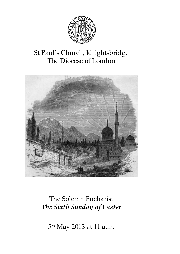

## St Paul's Church, Knightsbridge The Diocese of London



# The Solemn Eucharist *The Sixth Sunday of Easter*

5 th May 2013 at 11 a.m.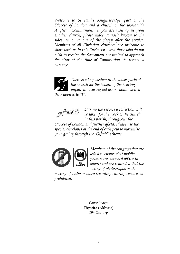*Welcome to St Paul's Knightsbridge, part of the Diocese of London and a church of the worldwide Anglican Communion. If you are visiting us from another church, please make yourself known to the sidesmen or to one of the clergy after the service. Members of all Christian churches are welcome to share with us in this Eucharist – and those who do not wish to receive the Sacrament are invited to approach the altar at the time of Communion, to receive a blessing.* 

*There is a loop system in the lower parts of the church for the benefit of the hearingimpaired. Hearing aid users should switch their devices to 'T'.*

giftaid it

*During the service a collection will be taken for the work of the church in this parish, throughout the* 

*Diocese of London and further afield. Please use the special envelopes at the end of each pew to maximise your giving through the 'Giftaid' scheme.*



*Members of the congregation are asked to ensure that mobile phones are switched off (or to silent) and are reminded that the taking of photographs or the* 

*making of audio or video recordings during services is prohibited.*

> *Cover image:* Thyatira (Akhisar) *19th Century*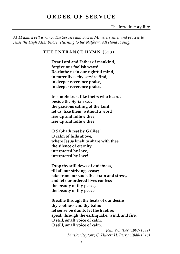## **ORDER OF SERVICE**

#### The Introductory Rite

*At 11 a.m. a bell is rung. The Servers and Sacred Ministers enter and process to cense the High Altar before returning to the platform. All stand to sing:*

#### **T H E E N T R A N C E H Y M N ( 3 53)**

**Dear Lord and Father of mankind, forgive our foolish ways! Re-clothe us in our rightful mind, in purer lives thy service find, in deeper reverence praise, in deeper reverence praise.**

**In simple trust like theirs who heard, beside the Syrian sea, the gracious calling of the Lord, let us, like them, without a word rise up and follow thee, rise up and follow thee.**

**O Sabbath rest by Galilee! O calm of hills above, where Jesus knelt to share with thee the silence of eternity, interpreted by love, interpreted by love!**

**Drop thy still dews of quietness, till all our strivings cease; take from our souls the strain and stress, and let our ordered lives confess the beauty of thy peace, the beauty of thy peace.**

**Breathe through the heats of our desire thy coolness and thy balm; let sense be dumb, let flesh retire; speak through the earthquake, wind, and fire, O still, small voice of calm, O still, small voice of calm.**

> *John Whittier (1807-1892) Music: 'Repton'; C. Hubert H. Parry (1848-1918)*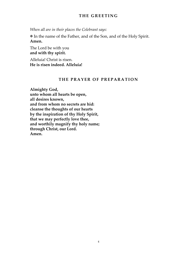## **T H E G R E E T I N G**

*When all are in their places the Celebrant says:*

 In the name of the Father, and of the Son, and of the Holy Spirit. **Amen.**

The Lord be with you **and with thy spirit.**

Alleluia! Christ is risen. **He is risen indeed. Alleluia!** 

#### **THE PRAYER OF PREPARATION**

**Almighty God, unto whom all hearts be open, all desires known, and from whom no secrets are hid: cleanse the thoughts of our hearts by the inspiration of thy Holy Spirit, that we may perfectly love thee, and worthily magnify thy holy name; through Christ, our Lord. Amen.**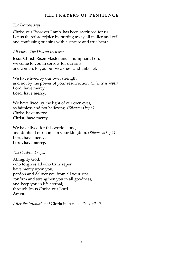## **THE PRAYERS OF PENITENCE**

#### *The Deacon says:*

Christ, our Passover Lamb, has been sacrificed for us. Let us therefore rejoice by putting away all malice and evil and confessing our sins with a sincere and true heart.

## *All kneel. The Deacon then says:*

Jesus Christ, Risen Master and Triumphant Lord, we come to you in sorrow for our sins, and confess to you our weakness and unbelief.

We have lived by our own strength, and not by the power of your resurrection. *(Silence is kept.)* Lord, have mercy. **Lord, have mercy.**

We have lived by the light of our own eyes, as faithless and not believing. *(Silence is kept.)* Christ, have mercy. **Christ, have mercy.**

We have lived for this world alone, and doubted our home in your kingdom. *(Silence is kept.)* Lord, have mercy. **Lord, have mercy.**

## *The Celebrant says:*

Almighty God, who forgives all who truly repent, have mercy upon you, pardon and deliver you from all your sins, confirm and strengthen you in all goodness, and keep you in life eternal; through Jesus Christ, our Lord. **Amen.** 

*After the intonation of* Gloria in excelsis Deo*, all sit.*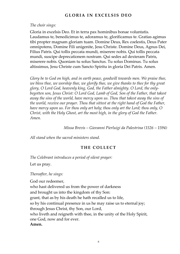#### *The choir sings:*

Gloria in excelsis Deo. Et in terra pax hominibus bonae voluntatis. Laudamus te, benedicimus te, adoramus te, glorificamus te. Gratias agimus tibi propter magnam gloriam tuam. Domine Deus, Rex coelestis, Deus Pater omnipotens, Domine Fili unigenite, Jesu Christe. Domine Deus, Agnus Dei, Filius Patris. Qui tollis peccata mundi, miserere nobis. Qui tollis peccata mundi, suscipe deprecationem nostram. Qui sedes ad dexteram Patris, miserere nobis. Quoniam tu solus Sanctus. Tu solus Dominus. Tu solus altissimus, Jesu Christe cum Sancto Spiritu in gloria Dei Patris. Amen.

*Glory be to God on high, and in earth peace, goodwill towards men. We praise thee, we bless thee, we worship thee, we glorify thee, we give thanks to thee for thy great glory, O Lord God, heavenly king, God, the Father almighty. O Lord, the onlybegotten son, Jesus Christ: O Lord God, Lamb of God, Son of the Father, that takest away the sins of the world, have mercy upon us. Thou that takest away the sins of the world, receive our prayer. Thou that sittest at the right hand of God the Father, have mercy upon us. For thou only art holy; thou only art the Lord; thou only, O Christ, with the Holy Ghost, art the most high, in the glory of God the Father. Amen.*

*Missa Brevis – Giovanni Pierluigi da Palestrina (1526 – 1594)*

*All stand when the sacred ministers stand.*

## THE COLLECT

*The Celebrant introduces a period of silent prayer:*

Let us pray.

*Thereafter, he sings:*

God our redeemer,

who hast delivered us from the power of darkness and brought us into the kingdom of thy Son: grant, that as by his death he hath recalled us to life, so by his continual presence in us he may raise us to eternal joy; through Jesus Christ, thy Son, our Lord, who liveth and reigneth with thee, in the unity of the Holy Spirit, one God, now and for ever. **Amen.**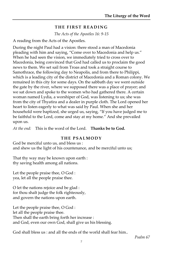## **THE FIRST READING**

*The Acts of the Apostles 16: 9-15*

A reading from the Acts of the Apostles.

During the night Paul had a vision: there stood a man of Macedonia pleading with him and saying, "Come over to Macedonia and help us." When he had seen the vision, we immediately tried to cross over to Macedonia, being convinced that God had called us to proclaim the good news to them. We set sail from Troas and took a straight course to Samothrace, the following day to Neapolis, and from there to Philippi, which is a leading city of the district of Macedonia and a Roman colony. We remained in this city for some days. On the sabbath day we went outside the gate by the river, where we supposed there was a place of prayer; and we sat down and spoke to the women who had gathered there. A certain woman named Lydia, a worshiper of God, was listening to us; she was from the city of Thyatira and a dealer in purple cloth. The Lord opened her heart to listen eagerly to what was said by Paul. When she and her household were baptized, she urged us, saying, "If you have judged me to be faithful to the Lord, come and stay at my home." And she prevailed upon us.

*At the end:* This is the word of the Lord. **Thanks be to God.**

## **T H E P S A L M O D Y**

God be merciful unto us, and bless us : and shew us the light of his countenance, and be merciful unto us;

That thy way may be known upon earth : thy saving health among all nations.

Let the people praise thee, O God : yea, let all the people praise thee.

O let the nations rejoice and be glad : for thou shalt judge the folk righteously, and govern the nations upon earth.

Let the people praise thee, O God : let all the people praise thee. Then shall the earth bring forth her increase : and God, even our own God, shall give us his blessing.

God shall bless us : and all the ends of the world shall fear him..

*Psalm 67*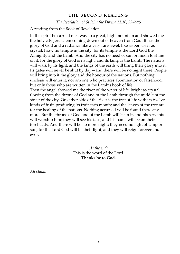## **THE SECOND READING**

*The Revelation of St John the Divine 21:10, 22-22:5*

A reading from the Book of Revelation

In the spirit he carried me away to a great, high mountain and showed me the holy city Jerusalem coming down out of heaven from God. It has the glory of God and a radiance like a very rare jewel, like jasper, clear as crystal. I saw no temple in the city, for its temple is the Lord God the Almighty and the Lamb. And the city has no need of sun or moon to shine on it, for the glory of God is its light, and its lamp is the Lamb. The nations will walk by its light, and the kings of the earth will bring their glory into it. Its gates will never be shut by day—and there will be no night there. People will bring into it the glory and the honour of the nations. But nothing unclean will enter it, nor anyone who practices abomination or falsehood, but only those who are written in the Lamb's book of life. Then the angel showed me the river of the water of life, bright as crystal, flowing from the throne of God and of the Lamb through the middle of the street of the city. On either side of the river is the tree of life with its twelve kinds of fruit, producing its fruit each month; and the leaves of the tree are for the healing of the nations. Nothing accursed will be found there any more. But the throne of God and of the Lamb will be in it, and his servants will worship him; they will see his face, and his name will be on their foreheads. And there will be no more night; they need no light of lamp or sun, for the Lord God will be their light, and they will reign forever and ever.

> *At the end:* This is the word of the Lord. **Thanks be to God.**

*All stand.*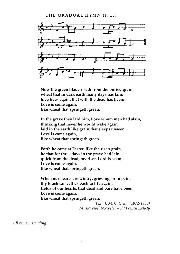THE GRADUAL HYMN  $(t, 15)$ 



**Now the green blade riseth from the buried grain, wheat that in dark earth many days has lain; love lives again, that with the dead has been: Love is come again, like wheat that springeth green.**

**In the grave they laid him, Love whom men had slain, thinking that never he would wake again, laid in the earth like grain that sleeps unseen: Love is come again, like wheat that springeth green.**

**Forth he came at Easter, like the risen grain, he that for three days in the grave had lain, quick from the dead, my risen Lord is seen: Love is come again, like wheat that springeth green.**

**When our hearts are wintry, grieving, or in pain, thy touch can call us back to life again, fields of our hearts, that dead and bare have been: Love is come again, like wheat that springeth green.**

*Text: J. M. C. Crum (1872-1958) Music: Noel Nouvelet – old French melody*

*All remain standing.*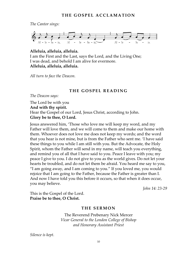*The Cantor sings:*



**Alleluia, alleluia, alleluia.**

I am the First and the Last, says the Lord, and the Living One; I was dead, and behold I am alive for evermore. **Alleluia, alleluia, alleluia.** 

*All turn to face the Deacon.*

#### **THE GOSPEL READING**

*The Deacon says:*

The Lord be with you **And with thy spirit.** Hear the Gospel of our Lord, Jesus Christ, according to John. **Glory be to thee, O Lord.**

Jesus answered him, 'Those who love me will keep my word, and my Father will love them, and we will come to them and make our home with them. Whoever does not love me does not keep my words; and the word that you hear is not mine, but is from the Father who sent me. 'I have said these things to you while I am still with you. But the Advocate, the Holy Spirit, whom the Father will send in my name, will teach you everything, and remind you of all that I have said to you. Peace I leave with you; my peace I give to you. I do not give to you as the world gives. Do not let your hearts be troubled, and do not let them be afraid. You heard me say to you, "I am going away, and I am coming to you." If you loved me, you would rejoice that I am going to the Father, because the Father is greater than I. And now I have told you this before it occurs, so that when it does occur, you may believe.

*John 14: 23-29*

This is the Gospel of the Lord. **Praise be to thee, O Christ.**

#### **T H E S E R M O N**

The Reverend Prebenary Nick Mercer *Vicar General to the London College of Bishop and Honorary Assistant Priest*

*Silence is kept.*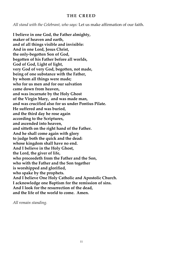#### **T H E C R E E D**

*All stand with the Celebrant, who says:* Let us make affirmation of our faith.

**I believe in one God, the Father almighty, maker of heaven and earth, and of all things visible and invisible: And in one Lord, Jesus Christ, the only-begotten Son of God, begotten of his Father before all worlds, God of God, Light of light, very God of very God, begotten, not made, being of one substance with the Father, by whom all things were made; who for us men and for our salvation came down from heaven, and was incarnate by the Holy Ghost of the Virgin Mary, and was made man, and was crucified also for us under Pontius Pilate. He suffered and was buried, and the third day he rose again according to the Scriptures, and ascended into heaven, and sitteth on the right hand of the Father. And he shall come again with glory to judge both the quick and the dead: whose kingdom shall have no end. And I believe in the Holy Ghost, the Lord, the giver of life, who proceedeth from the Father and the Son, who with the Father and the Son together is worshipped and glorified, who spake by the prophets. And I believe One Holy Catholic and Apostolic Church. I acknowledge one Baptism for the remission of sins. And I look for the resurrection of the dead, and the life of the world to come. Amen.**

*All remain standing.*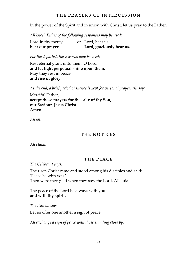## THE PRAYERS OF INTERCESSION

In the power of the Spirit and in union with Christ, let us pray to the Father.

*All kneel. Either of the following responses may be used:*

| Lord in thy mercy | or Lord, hear us          |
|-------------------|---------------------------|
| hear our prayer   | Lord, graciously hear us. |

*For the departed, these words may be used:*

Rest eternal grant unto them, O Lord **and let light perpetual shine upon them.** May they rest in peace **and rise in glory.**

*At the end, a brief period of silence is kept for personal prayer. All say:*

Merciful Father, **accept these prayers for the sake of thy Son, our Saviour, Jesus Christ. Amen.**

*All sit.*

## **THE NOTICES**

*All stand.*

#### **THE PEACE**

*The Celebrant says:*

The risen Christ came and stood among his disciples and said: 'Peace be with you.' Then were they glad when they saw the Lord. Alleluia!

The peace of the Lord be always with you. **and with thy spirit.**

*The Deacon says:*

Let us offer one another a sign of peace.

*All exchange a sign of peace with those standing close by.*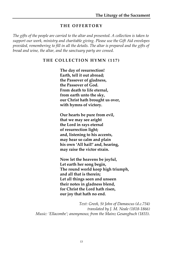#### **T H E O F F E R T O R Y**

*The gifts of the people are carried to the altar and presented. A collection is taken to support our work, ministry and charitable giving. Please use the Gift Aid envelopes provided, remembering to fill in all the details. The altar is prepared and the gifts of bread and wine, the altar, and the sanctuary party are censed.*

#### **T H E C O L L E C T I O N H Y M N ( 1 1 7 )**

**The day of resurrection! Earth, tell it out abroad; the Passover of gladness, the Passover of God. From death to life eternal, from earth unto the sky, our Christ hath brought us over, with hymns of victory.**

**Our hearts be pure from evil, that we may see aright the Lord in rays eternal of resurrection light; and, listening to his accents, may hear so calm and plain his own 'All hail!' and, hearing, may raise the victor strain.**

**Now let the heavens be joyful, Let earth her song begin, The round world keep high triumph, and all that is therein; Let all things seen and unseen their notes in gladness blend, for Christ the Lord hath risen, our joy that hath no end.**

*Text: Greek, St John of Damascus (d.c.754) translated by J. M. Neale (1818-1866) Music: 'Ellacombe'; anonymous; from the Mainz Gesangbuch (1833).*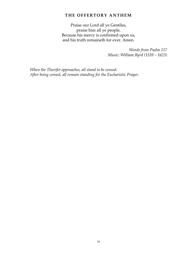## **THE OFFERTORY ANTHEM**

Praise our Lord all ye Gentiles, praise him all ye people, Because his mercy is confirmed upon us, and his truth remaineth for ever. Amen.

> *Words from Psalm 117 Music: William Byrd (1539 – 1623)*

*When the Thurifer approaches, all stand to be censed. After being censed, all remain standing for the Eucharistic Prayer.*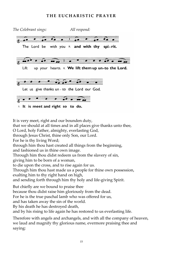#### **T H E E U C H A R I S T I C P R A Y E R**



R. It is meet and right so to do.

It is very meet, right and our bounden duty,

that we should at all times and in all places give thanks unto thee,

O Lord, holy Father, almighty, everlasting God,

through Jesus Christ, thine only Son, our Lord.

For he is thy living Word;

through him thou hast created all things from the beginning,

and fashioned us in thine own image.

Through him thou didst redeem us from the slavery of sin,

giving him to be born of a woman,

to die upon the cross, and to rise again for us.

Through him thou hast made us a people for thine own possession,

exalting him to thy right hand on high,

and sending forth through him thy holy and life-giving Spirit.

But chiefly are we bound to praise thee

because thou didst raise him gloriously from the dead.

For he is the true paschal lamb who was offered for us,

and has taken away the sin of the world.

By his death he has destroyed death,

and by his rising to life again he has restored to us everlasting life.

Therefore with angels and archangels, and with all the company of heaven, we laud and magnify thy glorious name, evermore praising thee and saying: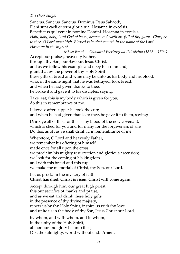*The choir sings:*

Sanctus, Sanctus, Sanctus, Dominus Deus Sabaoth, Pleni sunt caeli et terra gloria tua, Hosanna in excelsis. Benedictus qui venit in nomine Domini. Hosanna in excelsis. *Holy, holy, holy, Lord God of hosts, heaven and earth are full of thy glory. Glory be to thee, O Lord most high. Blessed is he that cometh in the name of the Lord. Hosanna in the highest.*

*Missa Brevis – Giovanni Pierluigi da Palestrina (1526 – 1594)* Accept our praises, heavenly Father, through thy Son, our Saviour, Jesus Christ, and as we follow his example and obey his command, grant that by the power of thy Holy Spirit these gifts of bread and wine may be unto us his body and his blood; who, in the same night that he was betrayed, took bread; and when he had given thanks to thee, he broke it and gave it to his disciples, saying:

Take, eat; this is my body which is given for you; do this in remembrance of me.

Likewise after supper he took the cup; and when he had given thanks to thee, he gave it to them, saying:

Drink ye all of this; for this is my blood of the new covenant, which is shed for you and for many for the forgiveness of sins. Do this, as oft as ye shall drink it, in remembrance of me.

Wherefore, O Lord and heavenly Father, we remember his offering of himself made once for all upon the cross; we proclaim his mighty resurrection and glorious ascension; we look for the coming of his kingdom and with this bread and this cup we make the memorial of Christ, thy Son, our Lord.

Let us proclaim the mystery of faith. **Christ has died. Christ is risen. Christ will come again.** 

Accept through him, our great high priest, this our sacrifice of thanks and praise, and as we eat and drink these holy gifts in the presence of thy divine majesty, renew us by thy Holy Spirit, inspire us with thy love, and unite us in the body of thy Son, Jesus Christ our Lord,

by whom, and with whom, and in whom, in the unity of the Holy Spirit, all honour and glory be unto thee, O Father almighty, world without end. **Amen.**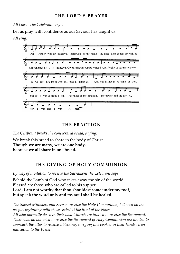## THE LORD'S PRAYER

*All kneel. The Celebrant sings:*

Let us pray with confidence as our Saviour has taught us.

*All sing:*



#### **THE FRACTION**

*The Celebrant breaks the consecrated bread, saying:*

We break this bread to share in the body of Christ. **Though we are many, we are one body, because we all share in one bread.**

## **THE GIVING OF HOLY COMMUNION**

*By way of invitation to receive the Sacrament the Celebrant says:*

Behold the Lamb of God who takes away the sin of the world. Blessed are those who are called to his supper. **Lord, I am not worthy that thou shouldest come under my roof, but speak the word only and my soul shall be healed.**

*The Sacred Ministers and Servers receive the Holy Communion, followed by the people, beginning with those seated at the front of the Nave. All who normally do so in their own Church are invited to receive the Sacrament. Those who do not wish to receive the Sacrament of Holy Communion are invited to approach the altar to receive a blessing, carrying this booklet in their hands as an indication to the Priest.*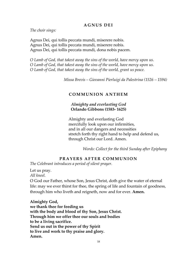#### **A G N U S D E I**

*The choir sings:*

Agnus Dei, qui tollis peccata mundi, miserere nobis. Agnus Dei, qui tollis peccata mundi, miserere nobis. Agnus Dei, qui tollis peccata mundi, dona nobis pacem.

*O Lamb of God, that takest away the sins of the world, have mercy upon us. O Lamb of God, that takest away the sins of the world, have mercy upon us. O Lamb of God, that takest away the sins of the world, grant us peace.* 

*Missa Brevis – Giovanni Pierluigi da Palestrina (1526 – 1594)*

#### **COMMUNION ANTHEM**

#### *Almighty and everlasting God* **Orlando Gibbons (1583- 1625)**

Almighty and everlasting God mercifully look upon our infirmities, and in all our dangers and necessities stretch forth thy right hand to help and defend us, through Christ our Lord. Amen.

*Words: Collect for the third Sunday after Epiphany* 

## **PRAYERS AFTER COMMUNION**

*The Celebrant introduces a period of silent prayer.*

Let us pray. *All kneel.*

O God our Father, whose Son, Jesus Christ, doth give the water of eternal life: may we ever thirst for thee, the spring of life and fountain of goodness, through him who liveth and reigneth, now and for ever. **Amen.**

**Almighty God, we thank thee for feeding us with the body and blood of thy Son, Jesus Christ. Through him we offer thee our souls and bodies to be a living sacrifice. Send us out in the power of thy Spirit to live and work to thy praise and glory. Amen.**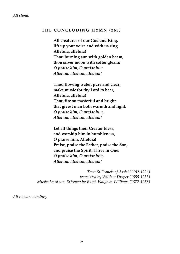#### THE CONCLUDING HYMN (263)

**All creatures of our God and King, lift up your voice and with us sing Alleluia, alleluia! Thou burning sun with golden beam, thou silver moon with softer gleam:** *O praise him, O praise him, Alleluia, alleluia, alleluia!*

**Thou flowing water, pure and clear, make music for thy Lord to hear, Alleluia, alleluia! Thou fire so masterful and bright, that givest man both warmth and light,** *O praise him, O praise him, Alleluia, alleluia, alleluia!*

**Let all things their Creator bless, and worship him in humbleness, O praise him, Alleluia! Praise, praise the Father, praise the Son, and praise the Spirit, Three in One:**  *O praise him, O praise him, Alleluia, alleluia, alleluia!*

*Text: St Francis of Assisi (1182-1226) translated by William Draper (1855-1933) Music: Lasst uns Erfreuen by Ralph Vaughan Williams (1872-1958)*

*All remain standing.*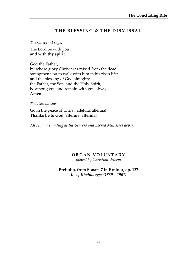## THE BLESSING & THE DISMISSAL

#### *The Celebrant says:*

The Lord be with you **and with thy spirit.**

God the Father, by whose glory Christ was raised from the dead, strengthen you to walk with him in his risen life; and the blessing of God almighty, the Father, the Son, and the Holy Spirit, be among you and remain with you always. **Amen.**

*The Deacon says:*

Go in the peace of Christ, alleluia, alleluia! **Thanks be to God, alleluia, alleluia!**

*All remain standing as the Servers and Sacred Ministers depart.*

#### **O R G A N V O L U N T A R Y** *played by Christian Wilson*

#### **Preludio, from Sonata 7 in F minor, op. 127** *Josef Rheinberger (1839 – 1901)*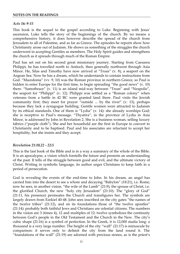#### *Acts 16: 9-15*

This book is the sequel to the gospel according to Luke. Beginning with Jesus' ascension, Luke tells the story of the beginnings of the church. By no means a comprehensive history, it does however describe the spread of the church from Jerusalem to all of Palestine, and as far as Greece. The episodes he reports show how Christianity arose out of Judaism. He shows us something of the struggles the church underwent in accepting Gentiles as members. The Holy Spirit guides and strengthens the church as it spreads through much of the Roman Empire.

Paul has set out on his second great missionary journey. Starting from Caesarea Philippi, he has travelled north to Antioch, then generally northwest through Asia Minor. He, Silas and Timothy have now arrived at "Troas" (v. 8), a seaport on the Aegean Sea. Now he has a dream, which he understands to contain instructions from God. "Macedonia" (vv. 9, 10) was the Roman province in northern Greece, so Paul is bidden to enter Europe for the first time, to begin spreading "the good news" (v. 10) there. "Samothrace" (v. 11) is an island mid-way between "Troas" and "Neapolis", the seaport for "Philippi" (v. 12). Philippi was settled as a "Roman colony" when veterans from a battle in 42 BC were granted land there. Paul visits the Jewish community first; they meet for prayer "outside ... by the river" (v. 13), perhaps because they lack a synagogue building. Gentile women were attracted to Judaism by its ethical standards. One of them is "Lydia" (v. 14): she already worships God; she is receptive to Paul's message. "Thyatira", in the province of Lydia in Asia Minor, is addressed by John in Revelation 2. She is a business woman, selling luxury fabrics ("purple cloth"). She and her household are the first in Europe to convert to Christianity and to be baptised. Paul and his associates are reluctant to accept her hospitality, but she insists and they accept.

#### *Revelation 21:10,22 - 22:5*

This is the last book of the Bible and is in a way a summary of the whole of the Bible. It is an apocalypse, a vision which foretells the future and presents an understanding of the past. It tells of the struggle between good and evil, and the ultimate victory of Christ. Writing in symbolic language, its author urges Christians to keep faith in a period of persecution.

God is revealing the events of the end-time to John. In his dream, an angel has carried him into the desert to see a whore and decaying "Babylon" (18:21), i.e. Rome; now he sees, in another vision, "the wife of the Lamb" (21:9), the spouse of Christ, i.e. the glorified Church, the new "holy city Jerusalem" (21:10). The "glory of God" (21:11, his presence) permeates the Church and transfigures her. The symbols are largely drawn from Ezekiel 40-48. John sees inscribed on the city gates "the names of the twelve tribes" (21:12), and on its foundations those of "the twelve apostles" (21:14): probably both faithful Jews and Christians are celestial citizens. The numbers in the vision are 3 (times 4), 12 and multiples of 12: twelve symbolizes the continuity between God's people in the Old Testament and the Church in the New. The city's cubic shape (21:16) is a symbol of perfection. In the Greek, it is 12,000 stadia long: a thousand is a very large number. The height of the city "wall" (21:17) is minuscule by comparison: it serves only to delimit the city from the land round it. The "foundations of the wall" (21:19) are adorned with precious stones, as is the priest's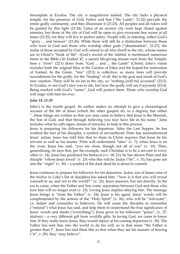breastplate in Exodus. The city is magnificent indeed. The city lacks a physical temple, for the presence of God, Father and Son ("the Lamb", 21:22) pervade the entire godly community, and they illuminate it (21:23). All peoples and all rulers will be guided by this light (21:24). Gates of an ancient city were kept closed against enemies, but those of the city of God will be open to give everyone free access at all times (21:25), for they will live in perfect safety. People will, in entering, reflect God's "glory ... and honour" (21:26). While there will still be a distinction between those who trust in God and those who worship other gods ("abomination", 21:27), the realm of those accepted by God will extend to all who dwell in the city, whose names are in Christ's "book of life". (God's record of the faithful is mentioned numerous times in the Bible.) In Ezekiel 47, a sacred life-giving stream runs from the Temple; here a "river" (22:1) flows from "God ... and ... the Lamb" (Christ). John's vision includes both the original bliss of the Garden of Eden and the hoped-for restoration of Ezekiel. In the Greek, "tree" (22:2) is collective, so many trees will provide nourishment for the godly, for the "healing" of all: this is the goal and result of God's new creation. There will be no sin in the city, so "nothing [will be] accursed" (22:3). In Exodus, to see God's face was to die, but now the godly will see it joyously (22:4). Being marked with God's "name", God will protect them. Those who worship God will reign with him for ever.

#### *John 14: 23-29*

John's is the fourth gospel. Its author makes no attempt to give a chronological account of the life of Jesus (which the other gospels do, to a degree), but rather "...these things are written so that you may come to believe that Jesus is the Messiah, the Son of God, and that through believing you may have life in his name." John includes what he calls signs, stories of miracles, to help in this process.

Jesus is preparing his followers for his departure. After the Last Supper, he has washed the feet of his disciples, a symbol of servanthood. Peter has misunderstood Jesus' action; Jesus has told him that to share in Christ requires that Jesus be his servant as well as his master. Peter will understand "later" (v. 7): when Jesus is on the cross. Jesus has said, "you are clean, though not all of you" (v. 10). Then, generalizing, he says that, per his example, each Christian is to be a servant to every other (v. 14). Jesus has predicted his betrayal (vv. 18, 21); he has shown Peter and the disciple "whom Jesus loved" (v. 23) who this will be. Judas ("he", v. 31) has gone out into the "night" (v. 30) – a symbol of the dark deed he is about to commit.

Jesus continues to prepare his followers for his departure. Judas, son of James (one of the twelve in Luke's list of disciples) has asked him: "'how is it that you will reveal yourself to us, and not to the world?'" (v. 22). Jesus answers, but not directly. In the era to come, when the Father and Son come, separation between God and those who love him will no longer exist (v. 23). Loving Jesus implies obeying him. The message Jesus brings is "from the Father" (v. 24); Jesus is his agent. Jesus' words will be complemented by the actions of the "Holy Spirit" (v. 26), who will be "Advocate", i.e. helper and counsellor to believers. He will cause the disciples to remember ("remind") what Jesus has said, and help them to understand the true significance of Jesus' words and deeds ("everything"). Jesus gives to his followers "peace", (v. 27, shalom) – a very different gift from worldly gifts. In loving God, we come to know him. If they really knew Jesus, they would rejoice at his coming departure (v. 28). The Father has sent him into the world to do his will, so in that sense "the Father is greater than I". Jesus has told them this so that when they see his manner of leaving ("it", v. 29), they "may believe".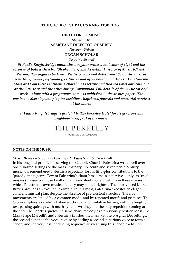#### **THE CHOIR OF ST PAUL'S KNIGHTSBRIDGE**

## **DIRECTOR OF MUSIC** *Stephen Farr* **ASSISTANT DIRECTOR OF MUSIC** *Christian Wilson* **ORGAN SCHOLAR**

*Georgina Sherriff*

*St Paul's Knightsbridge maintains a regular professional choir of eight and the services of both a Director (Stephen Farr) and Assistant Director of Music (Christian Wilson). The organ is by Henry Willis & Sons and dates from 1888. The musical repertoire, Sunday by Sunday, is diverse and often boldly ambitious: at the Solemn Mass at 11 am there is always a choral mass setting and two seasonal anthems, one at the Offertory and the other during Communion. Full details of the music for each week – along with a programme note – is published in the service paper. The musicians also sing and play for weddings, baptisms, funerals and memorial services at the church.*

*St Paul's Knightsbridge is grateful to The Berkeley Hotel for its generous and neighbourly support of the music.*

## THE BERKELEY

**KNIGHTSBRIDGE LONDON** 

#### **NOTES ON THE MUSIC**

#### *Missa Brevis – Giovanni Pierluigi da Palestrina (1526 – 1594)*

In his long and prolific life serving the Catholic Church, Palestrina wrote well over one hundred settings of the mass Ordinary. Sixteenth and seventeenth century musicians remembered Palestrina especially for his fifty-plus contributions to the 'parody' mass genre. Few of Palestrina's chant-based masses survive – only six 'free' masses (masses composed without a pre-existent model), yet it is in these masses in which Palestrina's own musical fantasy may shine brightest. The four-voiced Missa Brevis provides an excellent example. In this mass, Palestrina executes an elegant, coherent musical plan, despite the absence of pre-existent structure. The five movements are linked by a common mode, and by repeated motifs and gestures. The Gloria employs a carefully balanced chordal and imitative texture, with the lengthy text passing quickly; with much syllabic writing, and the only repetition coming at the end. The Sanctus quotes the same chant melody as a previously written Mass (the Missa Pape Marcelli), and Palestrina finishes the mass with two Agnus Dei settings; the second expands the vocal texture by adding a second superious voice to form a canon, and the very last concluding sequence arrives using this canonic addition.